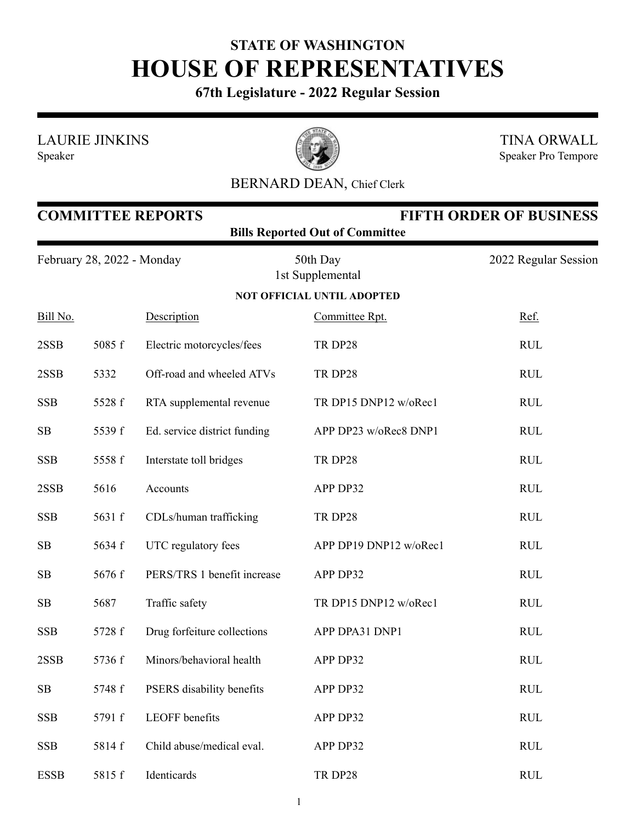## **STATE OF WASHINGTON HOUSE OF REPRESENTATIVES**

**67th Legislature - 2022 Regular Session**

LAURIE JINKINS





TINA ORWALL Speaker Pro Tempore

## BERNARD DEAN, Chief Clerk

| <b>COMMITTEE REPORTS</b><br><b>FIFTH ORDER OF BUSINESS</b><br><b>Bills Reported Out of Committee</b> |        |                              |                              |                      |  |  |  |  |  |
|------------------------------------------------------------------------------------------------------|--------|------------------------------|------------------------------|----------------------|--|--|--|--|--|
| February 28, 2022 - Monday                                                                           |        |                              | 50th Day<br>1st Supplemental | 2022 Regular Session |  |  |  |  |  |
| <b>NOT OFFICIAL UNTIL ADOPTED</b>                                                                    |        |                              |                              |                      |  |  |  |  |  |
| Bill No.                                                                                             |        | Description                  | Committee Rpt.               | Ref.                 |  |  |  |  |  |
| 2SSB                                                                                                 | 5085 f | Electric motorcycles/fees    | TR DP28                      | <b>RUL</b>           |  |  |  |  |  |
| 2SSB                                                                                                 | 5332   | Off-road and wheeled ATVs    | TR DP28                      | <b>RUL</b>           |  |  |  |  |  |
| <b>SSB</b>                                                                                           | 5528 f | RTA supplemental revenue     | TR DP15 DNP12 w/oRec1        | <b>RUL</b>           |  |  |  |  |  |
| SB                                                                                                   | 5539 f | Ed. service district funding | APP DP23 w/oRec8 DNP1        | <b>RUL</b>           |  |  |  |  |  |
| <b>SSB</b>                                                                                           | 5558 f | Interstate toll bridges      | TR DP28                      | <b>RUL</b>           |  |  |  |  |  |
| 2SSB                                                                                                 | 5616   | Accounts                     | APP DP32                     | <b>RUL</b>           |  |  |  |  |  |
| <b>SSB</b>                                                                                           | 5631 f | CDLs/human trafficking       | TR DP28                      | <b>RUL</b>           |  |  |  |  |  |
| SB                                                                                                   | 5634 f | UTC regulatory fees          | APP DP19 DNP12 w/oRec1       | <b>RUL</b>           |  |  |  |  |  |
| SB                                                                                                   | 5676 f | PERS/TRS 1 benefit increase  | APP DP32                     | <b>RUL</b>           |  |  |  |  |  |
| SB                                                                                                   | 5687   | Traffic safety               | TR DP15 DNP12 w/oRec1        | <b>RUL</b>           |  |  |  |  |  |
| <b>SSB</b>                                                                                           | 5728 f | Drug forfeiture collections  | APP DPA31 DNP1               | <b>RUL</b>           |  |  |  |  |  |
| 2SSB                                                                                                 | 5736 f | Minors/behavioral health     | APP DP32                     | <b>RUL</b>           |  |  |  |  |  |
| SB                                                                                                   | 5748 f | PSERS disability benefits    | APP DP32                     | <b>RUL</b>           |  |  |  |  |  |
| <b>SSB</b>                                                                                           | 5791 f | LEOFF benefits               | APP DP32                     | <b>RUL</b>           |  |  |  |  |  |
| <b>SSB</b>                                                                                           | 5814 f | Child abuse/medical eval.    | APP DP32                     | <b>RUL</b>           |  |  |  |  |  |
| <b>ESSB</b>                                                                                          | 5815 f | Identicards                  | TR DP28                      | <b>RUL</b>           |  |  |  |  |  |